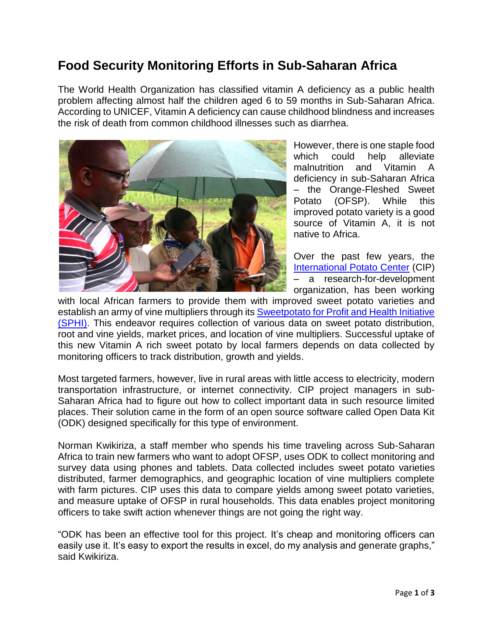# **Food Security Monitoring Efforts in Sub-Saharan Africa**

The World Health Organization has classified vitamin A deficiency as a public health problem affecting almost half the children aged 6 to 59 months in Sub-Saharan Africa. According to UNICEF, Vitamin A deficiency can cause childhood blindness and increases the risk of death from common childhood illnesses such as diarrhea.



However, there is one staple food which could help alleviate malnutrition and Vitamin A deficiency in sub-Saharan Africa – the Orange-Fleshed Sweet Potato (OFSP). While this improved potato variety is a good source of Vitamin A, it is not native to Africa.

Over the past few years, the [International Potato Center](https://cipotato.org/) (CIP) – a research-for-development organization, has been working

with local African farmers to provide them with improved sweet potato varieties and establish an army of vine multipliers through its [Sweetpotato for Profit and Health Initiative](http://www.sweetpotatoknowledge.org/)  [\(SPHI\).](http://www.sweetpotatoknowledge.org/) This endeavor requires collection of various data on sweet potato distribution, root and vine yields, market prices, and location of vine multipliers. Successful uptake of this new Vitamin A rich sweet potato by local farmers depends on data collected by monitoring officers to track distribution, growth and yields.

Most targeted farmers, however, live in rural areas with little access to electricity, modern transportation infrastructure, or internet connectivity. CIP project managers in sub-Saharan Africa had to figure out how to collect important data in such resource limited places. Their solution came in the form of an open source software called Open Data Kit (ODK) designed specifically for this type of environment.

Norman Kwikiriza, a staff member who spends his time traveling across Sub-Saharan Africa to train new farmers who want to adopt OFSP, uses ODK to collect monitoring and survey data using phones and tablets. Data collected includes sweet potato varieties distributed, farmer demographics, and geographic location of vine multipliers complete with farm pictures. CIP uses this data to compare yields among sweet potato varieties, and measure uptake of OFSP in rural households. This data enables project monitoring officers to take swift action whenever things are not going the right way.

"ODK has been an effective tool for this project. It's cheap and monitoring officers can easily use it. It's easy to export the results in excel, do my analysis and generate graphs," said Kwikiriza.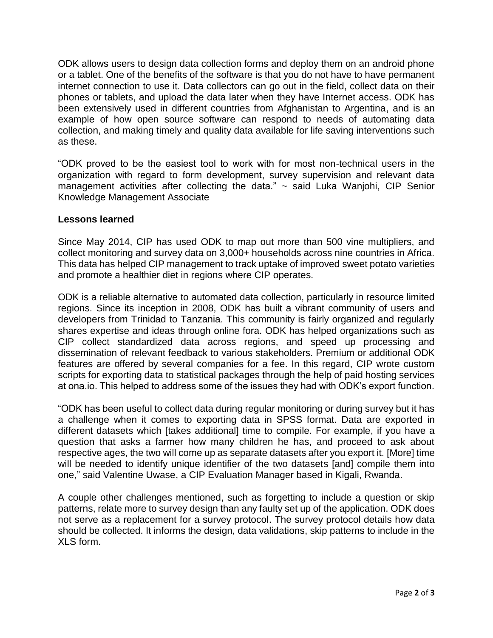ODK allows users to design data collection forms and deploy them on an android phone or a tablet. One of the benefits of the software is that you do not have to have permanent internet connection to use it. Data collectors can go out in the field, collect data on their phones or tablets, and upload the data later when they have Internet access. ODK has been extensively used in different countries from Afghanistan to Argentina, and is an example of how open source software can respond to needs of automating data collection, and making timely and quality data available for life saving interventions such as these.

"ODK proved to be the easiest tool to work with for most non-technical users in the organization with regard to form development, survey supervision and relevant data management activities after collecting the data." ~ said Luka Wanjohi, CIP Senior Knowledge Management Associate

# **Lessons learned**

Since May 2014, CIP has used ODK to map out more than 500 vine multipliers, and collect monitoring and survey data on 3,000+ households across nine countries in Africa. This data has helped CIP management to track uptake of improved sweet potato varieties and promote a healthier diet in regions where CIP operates.

ODK is a reliable alternative to automated data collection, particularly in resource limited regions. Since its inception in 2008, ODK has built a vibrant community of users and developers from Trinidad to Tanzania. This community is fairly organized and regularly shares expertise and ideas through online fora. ODK has helped organizations such as CIP collect standardized data across regions, and speed up processing and dissemination of relevant feedback to various stakeholders. Premium or additional ODK features are offered by several companies for a fee. In this regard, CIP wrote custom scripts for exporting data to statistical packages through the help of paid hosting services at ona.io. This helped to address some of the issues they had with ODK's export function.

"ODK has been useful to collect data during regular monitoring or during survey but it has a challenge when it comes to exporting data in SPSS format. Data are exported in different datasets which [takes additional] time to compile. For example, if you have a question that asks a farmer how many children he has, and proceed to ask about respective ages, the two will come up as separate datasets after you export it. [More] time will be needed to identify unique identifier of the two datasets [and] compile them into one," said Valentine Uwase, a CIP Evaluation Manager based in Kigali, Rwanda.

A couple other challenges mentioned, such as forgetting to include a question or skip patterns, relate more to survey design than any faulty set up of the application. ODK does not serve as a replacement for a survey protocol. The survey protocol details how data should be collected. It informs the design, data validations, skip patterns to include in the XLS form.